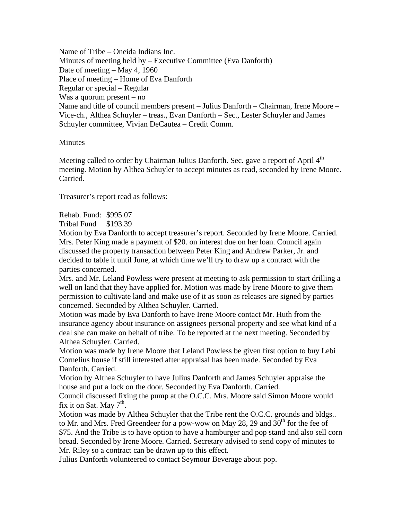Name of Tribe – Oneida Indians Inc. Minutes of meeting held by – Executive Committee (Eva Danforth) Date of meeting – May 4, 1960 Place of meeting – Home of Eva Danforth Regular or special – Regular Was a quorum present – no Name and title of council members present – Julius Danforth – Chairman, Irene Moore – Vice-ch., Althea Schuyler – treas., Evan Danforth – Sec., Lester Schuyler and James Schuyler committee, Vivian DeCautea – Credit Comm.

## **Minutes**

Meeting called to order by Chairman Julius Danforth. Sec. gave a report of April  $4<sup>th</sup>$ meeting. Motion by Althea Schuyler to accept minutes as read, seconded by Irene Moore. Carried.

Treasurer's report read as follows:

Rehab. Fund: \$995.07

Tribal Fund \$193.39

Motion by Eva Danforth to accept treasurer's report. Seconded by Irene Moore. Carried. Mrs. Peter King made a payment of \$20. on interest due on her loan. Council again discussed the property transaction between Peter King and Andrew Parker, Jr. and decided to table it until June, at which time we'll try to draw up a contract with the parties concerned.

Mrs. and Mr. Leland Powless were present at meeting to ask permission to start drilling a well on land that they have applied for. Motion was made by Irene Moore to give them permission to cultivate land and make use of it as soon as releases are signed by parties concerned. Seconded by Althea Schuyler. Carried.

Motion was made by Eva Danforth to have Irene Moore contact Mr. Huth from the insurance agency about insurance on assignees personal property and see what kind of a deal she can make on behalf of tribe. To be reported at the next meeting. Seconded by Althea Schuyler. Carried.

Motion was made by Irene Moore that Leland Powless be given first option to buy Lebi Cornelius house if still interested after appraisal has been made. Seconded by Eva Danforth. Carried.

Motion by Althea Schuyler to have Julius Danforth and James Schuyler appraise the house and put a lock on the door. Seconded by Eva Danforth. Carried.

Council discussed fixing the pump at the O.C.C. Mrs. Moore said Simon Moore would fix it on Sat. May  $7<sup>th</sup>$ .

Motion was made by Althea Schuyler that the Tribe rent the O.C.C. grounds and bldgs.. to Mr. and Mrs. Fred Greendeer for a pow-wow on May 28, 29 and  $30<sup>th</sup>$  for the fee of \$75. And the Tribe is to have option to have a hamburger and pop stand and also sell corn bread. Seconded by Irene Moore. Carried. Secretary advised to send copy of minutes to Mr. Riley so a contract can be drawn up to this effect.

Julius Danforth volunteered to contact Seymour Beverage about pop.